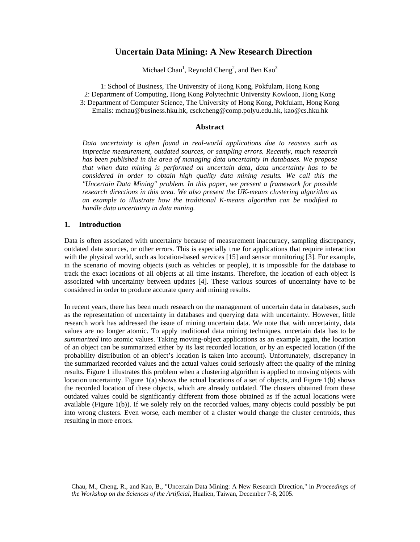# **Uncertain Data Mining: A New Research Direction**

Michael Chau<sup>1</sup>, Reynold Cheng<sup>2</sup>, and Ben Kao<sup>3</sup>

1: School of Business, The University of Hong Kong, Pokfulam, Hong Kong 2: Department of Computing, Hong Kong Polytechnic University Kowloon, Hong Kong 3: Department of Computer Science, The University of Hong Kong, Pokfulam, Hong Kong Emails: mchau@business.hku.hk, csckcheng@comp.polyu.edu.hk, kao@cs.hku.hk

#### **Abstract**

*Data uncertainty is often found in real-world applications due to reasons such as imprecise measurement, outdated sources, or sampling errors. Recently, much research has been published in the area of managing data uncertainty in databases. We propose that when data mining is performed on uncertain data, data uncertainty has to be considered in order to obtain high quality data mining results. We call this the "Uncertain Data Mining" problem. In this paper, we present a framework for possible research directions in this area. We also present the UK-means clustering algorithm as an example to illustrate how the traditional K-means algorithm can be modified to handle data uncertainty in data mining.* 

#### **1. Introduction**

Data is often associated with uncertainty because of measurement inaccuracy, sampling discrepancy, outdated data sources, or other errors. This is especially true for applications that require interaction with the physical world, such as location-based services [15] and sensor monitoring [3]. For example, in the scenario of moving objects (such as vehicles or people), it is impossible for the database to track the exact locations of all objects at all time instants. Therefore, the location of each object is associated with uncertainty between updates [4]. These various sources of uncertainty have to be considered in order to produce accurate query and mining results.

In recent years, there has been much research on the management of uncertain data in databases, such as the representation of uncertainty in databases and querying data with uncertainty. However, little research work has addressed the issue of mining uncertain data. We note that with uncertainty, data values are no longer atomic. To apply traditional data mining techniques, uncertain data has to be *summarized* into atomic values. Taking moving-object applications as an example again, the location of an object can be summarized either by its last recorded location, or by an expected location (if the probability distribution of an object's location is taken into account). Unfortunately, discrepancy in the summarized recorded values and the actual values could seriously affect the quality of the mining results. Figure 1 illustrates this problem when a clustering algorithm is applied to moving objects with location uncertainty. Figure 1(a) shows the actual locations of a set of objects, and Figure 1(b) shows the recorded location of these objects, which are already outdated. The clusters obtained from these outdated values could be significantly different from those obtained as if the actual locations were available (Figure 1(b)). If we solely rely on the recorded values, many objects could possibly be put into wrong clusters. Even worse, each member of a cluster would change the cluster centroids, thus resulting in more errors.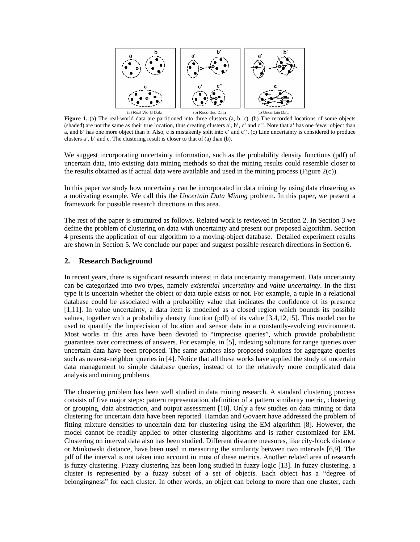

Figure 1. (a) The real-world data are partitioned into three clusters (a, b, c). (b) The recorded locations of some objects (shaded) are not the same as their true location, thus creating clusters a', b', c' and c''. Note that a' has one fewer object than a, and b' has one more object than b. Also, c is mistakenly split into c' and c''. (c) Line uncertainty is considered to produce clusters a', b' and c. The clustering result is closer to that of (a) than (b).

We suggest incorporating uncertainty information, such as the probability density functions (pdf) of uncertain data, into existing data mining methods so that the mining results could resemble closer to the results obtained as if actual data were available and used in the mining process (Figure 2(c)).

In this paper we study how uncertainty can be incorporated in data mining by using data clustering as a motivating example. We call this the *Uncertain Data Mining* problem. In this paper, we present a framework for possible research directions in this area.

The rest of the paper is structured as follows. Related work is reviewed in Section 2. In Section 3 we define the problem of clustering on data with uncertainty and present our proposed algorithm. Section 4 presents the application of our algorithm to a moving-object database. Detailed experiment results are shown in Section 5. We conclude our paper and suggest possible research directions in Section 6.

#### **2. Research Background**

In recent years, there is significant research interest in data uncertainty management. Data uncertainty can be categorized into two types, namely *existential uncertainty* and *value uncertainty*. In the first type it is uncertain whether the object or data tuple exists or not. For example, a tuple in a relational database could be associated with a probability value that indicates the confidence of its presence [1,11]. In value uncertainty, a data item is modelled as a closed region which bounds its possible values, together with a probability density function (pdf) of its value [3,4,12,15]. This model can be used to quantify the imprecision of location and sensor data in a constantly-evolving environment. Most works in this area have been devoted to "imprecise queries", which provide probabilistic guarantees over correctness of answers. For example, in [5], indexing solutions for range queries over uncertain data have been proposed. The same authors also proposed solutions for aggregate queries such as nearest-neighbor queries in [4]. Notice that all these works have applied the study of uncertain data management to simple database queries, instead of to the relatively more complicated data analysis and mining problems.

The clustering problem has been well studied in data mining research. A standard clustering process consists of five major steps: pattern representation, definition of a pattern similarity metric, clustering or grouping, data abstraction, and output assessment [10]. Only a few studies on data mining or data clustering for uncertain data have been reported. Hamdan and Govaert have addressed the problem of fitting mixture densities to uncertain data for clustering using the EM algorithm [8]. However, the model cannot be readily applied to other clustering algorithms and is rather customized for EM. Clustering on interval data also has been studied. Different distance measures, like city-block distance or Minkowski distance, have been used in measuring the similarity between two intervals [6,9]. The pdf of the interval is not taken into account in most of these metrics. Another related area of research is fuzzy clustering. Fuzzy clustering has been long studied in fuzzy logic [13]. In fuzzy clustering, a cluster is represented by a fuzzy subset of a set of objects. Each object has a "degree of belongingness" for each cluster. In other words, an object can belong to more than one cluster, each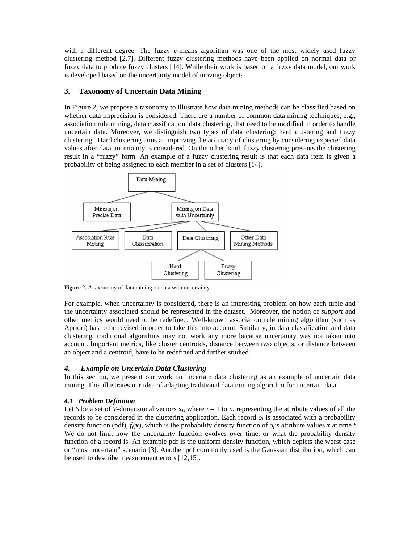with a different degree. The fuzzy *c*-means algorithm was one of the most widely used fuzzy clustering method [2,7]. Different fuzzy clustering methods have been applied on normal data or fuzzy data to produce fuzzy clusters [14]. While their work is based on a fuzzy data model, our work is developed based on the uncertainty model of moving objects.

## **3. Taxonomy of Uncertain Data Mining**

In Figure 2, we propose a taxonomy to illustrate how data mining methods can be classified based on whether data imprecision is considered. There are a number of common data mining techniques, e.g., association rule mining, data classification, data clustering, that need to be modified in order to handle uncertain data. Moreover, we distinguish two types of data clustering: hard clustering and fuzzy clustering. Hard clustering aims at improving the accuracy of clustering by considering expected data values after data uncertainty is considered. On the other hand, fuzzy clustering presents the clustering result in a "fuzzy" form. An example of a fuzzy clustering result is that each data item is given a probability of being assigned to each member in a set of clusters [14].



**Figure 2.** A taxonomy of data mining on data with uncertainty

For example, when uncertainty is considered, there is an interesting problem on how each tuple and the uncertainty associated should be represented in the dataset. Moreover, the notion of *support* and other metrics would need to be redefined. Well-known association rule mining algorithm (such as Apriori) has to be revised in order to take this into account. Similarly, in data classification and data clustering, traditional algorithms may not work any more because uncertainty was not taken into account. Important metrics, like cluster centroids, distance between two objects, or distance between an object and a centroid, have to be redefined and further studied.

## *4. Example on Uncertain Data Clustering*

In this section, we present our work on uncertain data clustering as an example of uncertain data mining. This illustrates our idea of adapting traditional data mining algorithm for uncertain data.

### *4.1 Problem Definition*

Let *S* be a set of *V*-dimensional vectors  $\mathbf{x}_i$ , where  $i = 1$  to *n*, representing the attribute values of all the records to be considered in the clustering application. Each record  $o_i$  is associated with a probability density function (pdf),  $f_i(\mathbf{x})$ , which is the probability density function of  $o_i$ 's attribute values **x** at time *t*. We do not limit how the uncertainty function evolves over time, or what the probability density function of a record is. An example pdf is the uniform density function, which depicts the worst-case or "most uncertain" scenario [3]. Another pdf commonly used is the Gaussian distribution, which can be used to describe measurement errors [12,15].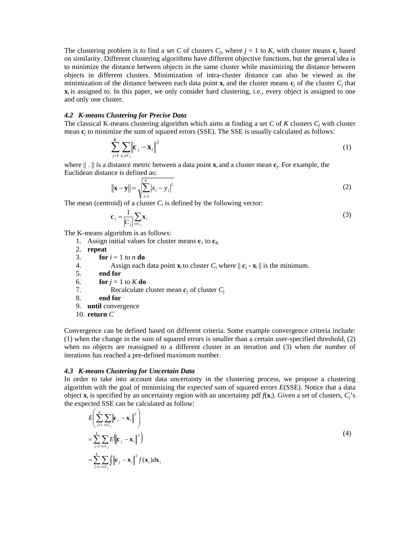The clustering problem is to find a set *C* of clusters  $C_j$ , where  $j = 1$  to *K*, with cluster means  $c_j$  based on similarity. Different clustering algorithms have different objective functions, but the general idea is to minimize the distance between objects in the same cluster while maximizing the distance between objects in different clusters. Minimization of intra-cluster distance can also be viewed as the minimization of the distance between each data point  $\mathbf{x}_i$  and the cluster means  $\mathbf{c}_i$  of the cluster  $C_i$  that  $\mathbf{x}_i$  is assigned to. In this paper, we only consider hard clustering, i.e., every object is assigned to one and only one cluster.

#### *4.2 K-means Clustering for Precise Data*

The classical K-means clustering algorithm which aims at finding a set *C* of *K* clusters *Cj* with cluster mean **c***j* to minimize the sum of squared errors (SSE). The SSE is usually calculated as follows:

$$
\sum_{j=1}^{K} \sum_{x_i \in C_j} \left\| \mathbf{c}_j - \mathbf{x}_i \right\|^2 \tag{1}
$$

where  $|| \cdot ||$  is a distance metric between a data point  $\mathbf{x}_i$  and a cluster mean  $\mathbf{c}_i$ . For example, the Euclidean distance is defined as:

$$
\|\mathbf{x} - \mathbf{y}\| = \sqrt{\sum_{i=1}^{V} |x_i - y_i|^2}
$$
 (2)

The mean (centroid) of a cluster  $C_i$  is defined by the following vector:

$$
\mathbf{c}_j = \frac{1}{|C_j|} \sum_{i \in C_j} \mathbf{x}_i
$$
 (3)

The K-means algorithm is as follows:

- 1. Assign initial values for cluster means  **to**  $**c**<sub>K</sub>$
- 2. **repeat**
- 3. **for**  $i = 1$  to *n* **do**
- 4. Assign each data point  $\mathbf{x}_i$  to cluster  $C_j$  where  $||\mathbf{c}_j \mathbf{x}_i||$  is the minimum.
- 5. **end for**
- 6. **for**  $j = 1$  to  $K$  **do**

7. Recalculate cluster mean  $c_i$  of cluster  $C_i$ 

- 8. **end for**
- 9. **until** convergence
- 10. **return** *C*

Convergence can be defined based on different criteria. Some example convergence criteria include: (1) when the change in the sum of squared errors is smaller than a certain user-specified threshold, (2) when no objects are reassigned to a different cluster in an iteration and (3) when the number of iterations has reached a pre-defined maximum number.

#### *4.3 K-means Clustering for Uncertain Data*

In order to take into account data uncertainty in the clustering process, we propose a clustering algorithm with the goal of minimizing the *expected* sum of squared errors *E*(SSE). Notice that a data object  $\mathbf{x}_i$  is specified by an uncertainty region with an uncertainty pdf  $f(\mathbf{x}_i)$ . Given a set of clusters,  $C_i$ 's the expected SSE can be calculated as follow:

$$
E\left(\sum_{j=1}^{k} \sum_{i \in C_j} \left\| \mathbf{c}_j - \mathbf{x}_i \right\|^2 \right)
$$
  
\n
$$
= \sum_{j=1}^{k} \sum_{i \in C_j} E\left(\left\| \mathbf{c}_j - \mathbf{x}_i \right\|^2 \right)
$$
  
\n
$$
= \sum_{j=1}^{k} \sum_{i \in C_j} \int_{\mathbf{c}} \left\| \mathbf{c}_j - \mathbf{x}_i \right\|^2 f(\mathbf{x}_i) d\mathbf{x}_i
$$
\n(4)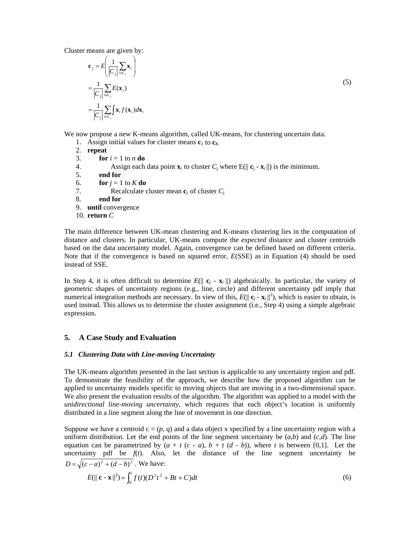Cluster means are given by:

$$
\mathbf{c}_{j} = E \left( \frac{1}{|C_{j}|} \sum_{i \in C_{j}} \mathbf{x}_{i} \right)
$$
  
\n
$$
= \frac{1}{|C_{j}|} \sum_{i \in C_{j}} E(\mathbf{x}_{i})
$$
  
\n
$$
= \frac{1}{|C_{j}|} \sum_{i \in C_{j}} \mathbf{S}_{i} f(\mathbf{x}_{i}) d\mathbf{x}_{i}
$$
 (5)

We now propose a new K-means algorithm, called UK-means, for clustering uncertain data.

- 1. Assign initial values for cluster means  $\mathbf{c}_1$  to  $\mathbf{c}_K$
- 2. **repeat**

=

- 3. **for**  $i = 1$  to *n* **do**
- 4. Assign each data point  $\mathbf{x}_i$  to cluster  $C_i$  where  $E(||\mathbf{c}_i \mathbf{x}_i||)$  is the minimum.
- 5. **end for**
- 6. **for**  $j = 1$  to  $K$  **do**
- 7. Recalculate cluster mean **c**<sup>j</sup>of cluster *C*<sup>j</sup>
- 8. **end for**
- 9. **until** convergence
- 10. **return** *C*

The main difference between UK-mean clustering and K-means clustering lies in the computation of distance and clusters. In particular, UK-means compute the *expected* distance and cluster centroids based on the data uncertainty model. Again, convergence can be defined based on different criteria. Note that if the convergence is based on squared error, *E*(SSE) as in Equation (4) should be used instead of SSE.

In Step 4, it is often difficult to determine  $E(||\mathbf{c}_i - \mathbf{x}_i||)$  algebraically. In particular, the variety of geometric shapes of uncertainty regions (e.g., line, circle) and different uncertainty pdf imply that numerical integration methods are necessary. In view of this,  $E(||\mathbf{c}_i - \mathbf{x}_i||^2)$ , which is easier to obtain, is used instead. This allows us to determine the cluster assignment (i.e., Step 4) using a simple algebraic expression.

### **5. A Case Study and Evaluation**

### *5.1 Clustering Data with Line-moving Uncertainty*

The UK-means algorithm presented in the last section is applicable to any uncertainty region and pdf. To demonstrate the feasibility of the approach, we describe how the proposed algorithm can be applied to uncertainty models specific to moving objects that are moving in a two-dimensional space. We also present the evaluation results of the algorithm. The algorithm was applied to a model with the *unidirectional line-moving uncertainty*, which requires that each object's location is uniformly distributed in a line segment along the line of movement in one direction.

Suppose we have a centroid  $c = (p, q)$  and a data object x specified by a line uncertainty region with a uniform distribution. Let the end points of the line segment uncertainty be  $(a,b)$  and  $(c,d)$ . The line equation can be parametrized by  $(a + t (c - a), b + t (d - b))$ , where *t* is between [0,1]. Let the uncertainty pdf be  $f(t)$ . Also, let the distance of the line segment uncertainty be  $D = \sqrt{(c-a)^2 + (d-b)^2}$ . We have:

$$
E(||\mathbf{c} - \mathbf{x}||^2) = \int_0^1 f(t)(D^2t^2 + Bt + C)dt
$$
\n(6)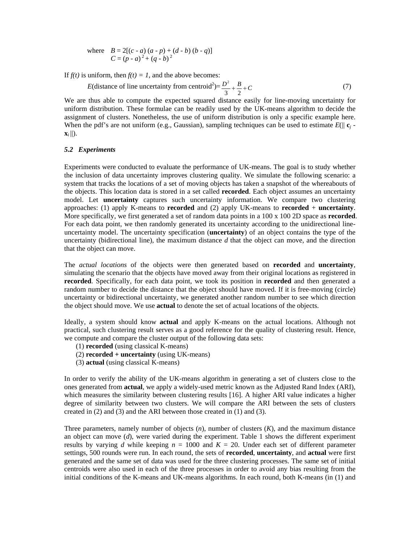where 
$$
B = 2[(c - a)(a - p) + (d - b)(b - q)]
$$
  
 $C = (p - a)^2 + (q - b)^2$ 

If  $f(t)$  is uniform, then  $f(t) = 1$ , and the above becomes:

$$
E(\text{distance of line uncertainty from centroid}^2) = \frac{D^2}{3} + \frac{B}{2} + C \tag{7}
$$

We are thus able to compute the expected squared distance easily for line-moving uncertainty for uniform distribution. These formulae can be readily used by the UK-means algorithm to decide the assignment of clusters. Nonetheless, the use of uniform distribution is only a specific example here. When the pdf's are not uniform (e.g., Gaussian), sampling techniques can be used to estimate  $E(||\mathbf{c}_i - \mathbf{c}_i||)$  $\mathbf{x}_i$  ||).

#### *5.2 Experiments*

Experiments were conducted to evaluate the performance of UK-means. The goal is to study whether the inclusion of data uncertainty improves clustering quality. We simulate the following scenario: a system that tracks the locations of a set of moving objects has taken a snapshot of the whereabouts of the objects. This location data is stored in a set called **recorded**. Each object assumes an uncertainty model. Let **uncertainty** captures such uncertainty information. We compare two clustering approaches: (1) apply K-means to **recorded** and (2) apply UK-means to **recorded** + **uncertainty**. More specifically, we first generated a set of random data points in a 100 x 100 2D space as **recorded**. For each data point, we then randomly generated its uncertainty according to the unidirectional lineuncertainty model. The uncertainty specification (**uncertainty**) of an object contains the type of the uncertainty (bidirectional line), the maximum distance *d* that the object can move, and the direction that the object can move.

The *actual locations* of the objects were then generated based on **recorded** and **uncertainty**, simulating the scenario that the objects have moved away from their original locations as registered in **recorded**. Specifically, for each data point, we took its position in **recorded** and then generated a random number to decide the distance that the object should have moved. If it is free-moving (circle) uncertainty or bidirectional uncertainty, we generated another random number to see which direction the object should move. We use **actual** to denote the set of actual locations of the objects.

Ideally, a system should know **actual** and apply K-means on the actual locations. Although not practical, such clustering result serves as a good reference for the quality of clustering result. Hence, we compute and compare the cluster output of the following data sets:

- (1) **recorded** (using classical K-means)
- (2) **recorded + uncertainty** (using UK-means)
- (3) **actual** (using classical K-means)

In order to verify the ability of the UK-means algorithm in generating a set of clusters close to the ones generated from **actual**, we apply a widely-used metric known as the Adjusted Rand Index (ARI), which measures the similarity between clustering results [16]. A higher ARI value indicates a higher degree of similarity between two clusters. We will compare the ARI between the sets of clusters created in (2) and (3) and the ARI between those created in (1) and (3).

Three parameters, namely number of objects (*n*), number of clusters (*K*), and the maximum distance an object can move (*d*), were varied during the experiment. Table 1 shows the different experiment results by varying *d* while keeping  $n = 1000$  and  $K = 20$ . Under each set of different parameter settings, 500 rounds were run. In each round, the sets of **recorded**, **uncertainty**, and **actual** were first generated and the same set of data was used for the three clustering processes. The same set of initial centroids were also used in each of the three processes in order to avoid any bias resulting from the initial conditions of the K-means and UK-means algorithms. In each round, both K-means (in (1) and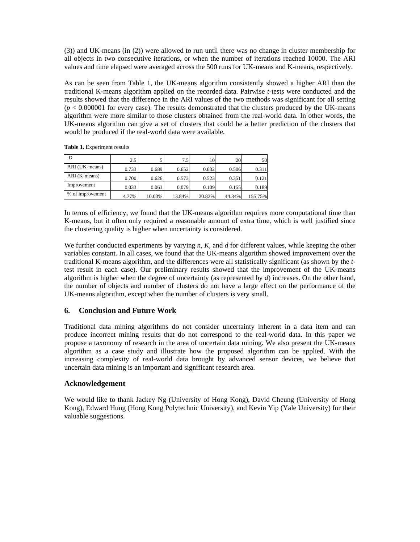(3)) and UK-means (in (2)) were allowed to run until there was no change in cluster membership for all objects in two consecutive iterations, or when the number of iterations reached 10000. The ARI values and time elapsed were averaged across the 500 runs for UK-means and K-means, respectively.

As can be seen from Table 1, the UK-means algorithm consistently showed a higher ARI than the traditional K-means algorithm applied on the recorded data. Pairwise *t*-tests were conducted and the results showed that the difference in the ARI values of the two methods was significant for all setting  $(p < 0.000001$  for every case). The results demonstrated that the clusters produced by the UK-means algorithm were more similar to those clusters obtained from the real-world data. In other words, the UK-means algorithm can give a set of clusters that could be a better prediction of the clusters that would be produced if the real-world data were available.

| D                | 2.5   |        | 7.5    | 10     | 20     | 50      |
|------------------|-------|--------|--------|--------|--------|---------|
| ARI (UK-means)   | 0.733 | 0.689  | 0.652  | 0.632  | 0.506  | 0.311   |
| ARI (K-means)    | 0.700 | 0.626  | 0.573  | 0.523  | 0.351  | 0.121   |
| Improvement      | 0.033 | 0.063  | 0.079  | 0.109  | 0.155  | 0.189   |
| % of improvement | 4.77% | 10.03% | 13.84% | 20.82% | 44.34% | 155.75% |

**Table 1.** Experiment results

In terms of efficiency, we found that the UK-means algorithm requires more computational time than K-means, but it often only required a reasonable amount of extra time, which is well justified since the clustering quality is higher when uncertainty is considered.

We further conducted experiments by varying *n*, *K*, and *d* for different values, while keeping the other variables constant. In all cases, we found that the UK-means algorithm showed improvement over the traditional K-means algorithm, and the differences were all statistically significant (as shown by the *t*test result in each case). Our preliminary results showed that the improvement of the UK-means algorithm is higher when the degree of uncertainty (as represented by *d*) increases. On the other hand, the number of objects and number of clusters do not have a large effect on the performance of the UK-means algorithm, except when the number of clusters is very small.

## **6. Conclusion and Future Work**

Traditional data mining algorithms do not consider uncertainty inherent in a data item and can produce incorrect mining results that do not correspond to the real-world data. In this paper we propose a taxonomy of research in the area of uncertain data mining. We also present the UK-means algorithm as a case study and illustrate how the proposed algorithm can be applied. With the increasing complexity of real-world data brought by advanced sensor devices, we believe that uncertain data mining is an important and significant research area.

## **Acknowledgement**

We would like to thank Jackey Ng (University of Hong Kong), David Cheung (University of Hong Kong), Edward Hung (Hong Kong Polytechnic University), and Kevin Yip (Yale University) for their valuable suggestions.